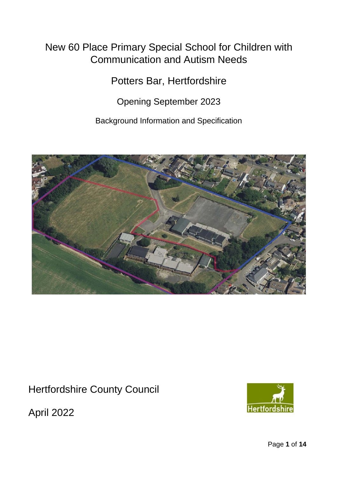# New 60 Place Primary Special School for Children with Communication and Autism Needs

Potters Bar, Hertfordshire

Opening September 2023

Background Information and Specification



Hertfordshire County Council

April 2022

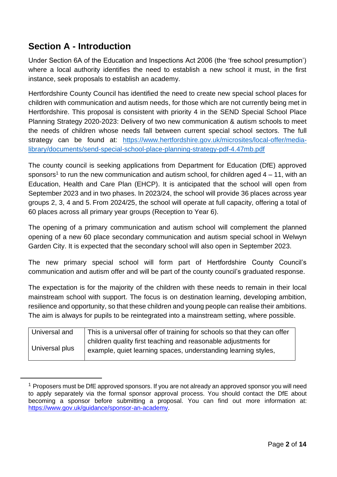# **Section A - Introduction**

Under Section 6A of the Education and Inspections Act 2006 (the 'free school presumption') where a local authority identifies the need to establish a new school it must, in the first instance, seek proposals to establish an academy.

Hertfordshire County Council has identified the need to create new special school places for children with communication and autism needs, for those which are not currently being met in Hertfordshire. This proposal is consistent with priority 4 in the SEND Special School Place Planning Strategy 2020-2023: Delivery of two new communication & autism schools to meet the needs of children whose needs fall between current special school sectors. The full strategy can be found at: [https://www.hertfordshire.gov.uk/microsites/local-offer/media](https://www.hertfordshire.gov.uk/microsites/local-offer/media-library/documents/send-special-school-place-planning-strategy-pdf-4.47mb.pdf)[library/documents/send-special-school-place-planning-strategy-pdf-4.47mb.pdf](https://www.hertfordshire.gov.uk/microsites/local-offer/media-library/documents/send-special-school-place-planning-strategy-pdf-4.47mb.pdf)

The county council is seeking applications from Department for Education (DfE) approved sponsors<sup>1</sup> to run the new communication and autism school, for children aged  $4 - 11$ , with an Education, Health and Care Plan (EHCP). It is anticipated that the school will open from September 2023 and in two phases. In 2023/24, the school will provide 36 places across year groups 2, 3, 4 and 5. From 2024/25, the school will operate at full capacity, offering a total of 60 places across all primary year groups (Reception to Year 6).

The opening of a primary communication and autism school will complement the planned opening of a new 60 place secondary communication and autism special school in Welwyn Garden City. It is expected that the secondary school will also open in September 2023.

The new primary special school will form part of Hertfordshire County Council's communication and autism offer and will be part of the county council's graduated response.

The expectation is for the majority of the children with these needs to remain in their local mainstream school with support. The focus is on destination learning, developing ambition, resilience and opportunity, so that these children and young people can realise their ambitions. The aim is always for pupils to be reintegrated into a mainstream setting, where possible.

| Universal and  | This is a universal offer of training for schools so that they can offer |
|----------------|--------------------------------------------------------------------------|
| Universal plus | children quality first teaching and reasonable adjustments for           |
|                | example, quiet learning spaces, understanding learning styles,           |

<sup>&</sup>lt;sup>1</sup> Proposers must be DfE approved sponsors. If you are not already an approved sponsor you will need to apply separately via the formal sponsor approval process. You should contact the DfE about becoming a sponsor before submitting a proposal. You can find out more information at: [https://www.gov.uk/guidance/sponsor-an-academy.](https://www.gov.uk/guidance/sponsor-an-academy)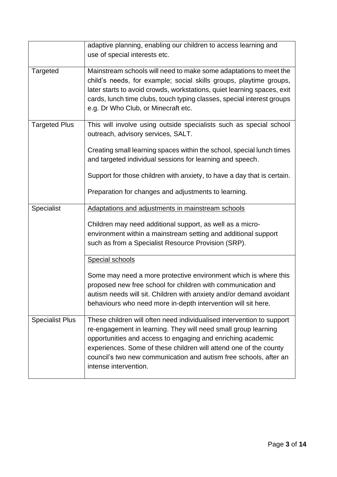|                        | adaptive planning, enabling our children to access learning and<br>use of special interests etc.                                                                                                                                                                                                                                                                          |
|------------------------|---------------------------------------------------------------------------------------------------------------------------------------------------------------------------------------------------------------------------------------------------------------------------------------------------------------------------------------------------------------------------|
| <b>Targeted</b>        | Mainstream schools will need to make some adaptations to meet the<br>child's needs, for example; social skills groups, playtime groups,<br>later starts to avoid crowds, workstations, quiet learning spaces, exit<br>cards, lunch time clubs, touch typing classes, special interest groups<br>e.g. Dr Who Club, or Minecraft etc.                                       |
| <b>Targeted Plus</b>   | This will involve using outside specialists such as special school<br>outreach, advisory services, SALT.                                                                                                                                                                                                                                                                  |
|                        | Creating small learning spaces within the school, special lunch times<br>and targeted individual sessions for learning and speech.                                                                                                                                                                                                                                        |
|                        | Support for those children with anxiety, to have a day that is certain.<br>Preparation for changes and adjustments to learning.                                                                                                                                                                                                                                           |
| <b>Specialist</b>      | Adaptations and adjustments in mainstream schools                                                                                                                                                                                                                                                                                                                         |
|                        | Children may need additional support, as well as a micro-<br>environment within a mainstream setting and additional support<br>such as from a Specialist Resource Provision (SRP).                                                                                                                                                                                        |
|                        | Special schools                                                                                                                                                                                                                                                                                                                                                           |
|                        | Some may need a more protective environment which is where this<br>proposed new free school for children with communication and<br>autism needs will sit. Children with anxiety and/or demand avoidant<br>behaviours who need more in-depth intervention will sit here.                                                                                                   |
| <b>Specialist Plus</b> | These children will often need individualised intervention to support<br>re-engagement in learning. They will need small group learning<br>opportunities and access to engaging and enriching academic<br>experiences. Some of these children will attend one of the county<br>council's two new communication and autism free schools, after an<br>intense intervention. |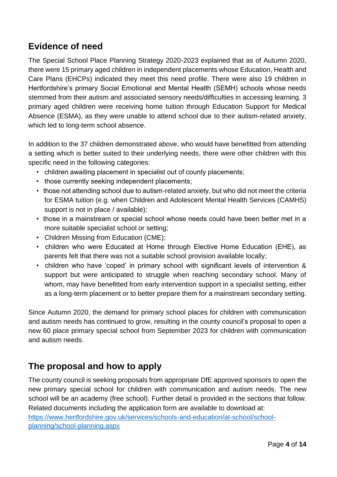# **Evidence of need**

The Special School Place Planning Strategy 2020-2023 explained that as of Autumn 2020, there were 15 primary aged children in independent placements whose Education, Health and Care Plans (EHCPs) indicated they meet this need profile. There were also 19 children in Hertfordshire's primary Social Emotional and Mental Health (SEMH) schools whose needs stemmed from their autism and associated sensory needs/difficulties in accessing learning. 3 primary aged children were receiving home tuition through Education Support for Medical Absence (ESMA), as they were unable to attend school due to their autism-related anxiety, which led to long-term school absence.

In addition to the 37 children demonstrated above, who would have benefitted from attending a setting which is better suited to their underlying needs, there were other children with this specific need in the following categories:

- children awaiting placement in specialist out of county placements;
- those currently seeking independent placements;
- those not attending school due to autism-related anxiety, but who did not meet the criteria for ESMA tuition (e.g. when Children and Adolescent Mental Health Services (CAMHS) support is not in place / available);
- those in a mainstream or special school whose needs could have been better met in a more suitable specialist school or setting;
- Children Missing from Education (CME);
- children who were Educated at Home through Elective Home Education (EHE), as parents felt that there was not a suitable school provision available locally;
- children who have 'coped' in primary school with significant levels of intervention & support but were anticipated to struggle when reaching secondary school. Many of whom, may have benefitted from early intervention support in a specialist setting, either as a long-term placement or to better prepare them for a mainstream secondary setting.

Since Autumn 2020, the demand for primary school places for children with communication and autism needs has continued to grow, resulting in the county council's proposal to open a new 60 place primary special school from September 2023 for children with communication and autism needs.

# **The proposal and how to apply**

The county council is seeking proposals from appropriate DfE approved sponsors to open the new primary special school for children with communication and autism needs. The new school will be an academy (free school). Further detail is provided in the sections that follow. Related documents including the application form are available to download at: [https://www.hertfordshire.gov.uk/services/schools-and-education/at-school/school](https://www.hertfordshire.gov.uk/services/schools-and-education/at-school/school-planning/school-planning.aspx#DynamicJumpMenuManager_1_Anchor_3)[planning/school-planning.aspx](https://www.hertfordshire.gov.uk/services/schools-and-education/at-school/school-planning/school-planning.aspx#DynamicJumpMenuManager_1_Anchor_3)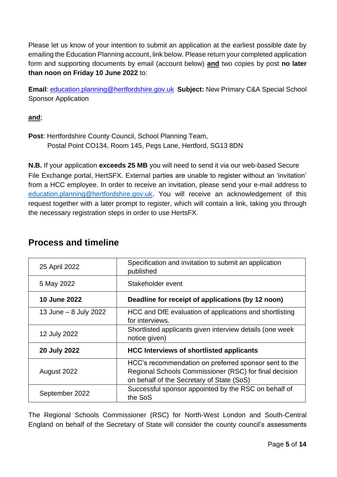Please let us know of your intention to submit an application at the earliest possible date by emailing the Education Planning account, link below. Please return your completed application form and supporting documents by email (account below) **and** two copies by post **no later than noon on Friday 10 June 2022** to:

**Email**: education.planning@hertfordshire.gov.uk **Subject:** New Primary C&A Special School Sponsor Application

**and**;

**Post**: Hertfordshire County Council, School Planning Team, Postal Point CO134, Room 145, Pegs Lane, Hertford, SG13 8DN

**N.B.** If your application **exceeds 25 MB** you will need to send it via our web-based Secure File Exchange portal, HertSFX. External parties are unable to register without an 'invitation' from a HCC employee. In order to receive an invitation, please send your e-mail address to [education.planning@hertfordshire.gov.uk.](mailto:education.planning@hertfordshire.gov.uk) You will receive an acknowledgement of this request together with a later prompt to register, which will contain a link, taking you through the necessary registration steps in order to use HertsFX.

| 25 April 2022         | Specification and invitation to submit an application<br>published                                                                                           |  |
|-----------------------|--------------------------------------------------------------------------------------------------------------------------------------------------------------|--|
| 5 May 2022            | Stakeholder event                                                                                                                                            |  |
| <b>10 June 2022</b>   | Deadline for receipt of applications (by 12 noon)                                                                                                            |  |
| 13 June - 8 July 2022 | HCC and DfE evaluation of applications and shortlisting<br>for interviews.                                                                                   |  |
| 12 July 2022          | Shortlisted applicants given interview details (one week<br>notice given)                                                                                    |  |
| 20 July 2022          | <b>HCC Interviews of shortlisted applicants</b>                                                                                                              |  |
| August 2022           | HCC's recommendation on preferred sponsor sent to the<br>Regional Schools Commissioner (RSC) for final decision<br>on behalf of the Secretary of State (SoS) |  |
| September 2022        | Successful sponsor appointed by the RSC on behalf of<br>the SoS                                                                                              |  |

#### **Process and timeline**

The Regional Schools Commissioner (RSC) for North-West London and South-Central England on behalf of the Secretary of State will consider the county council's assessments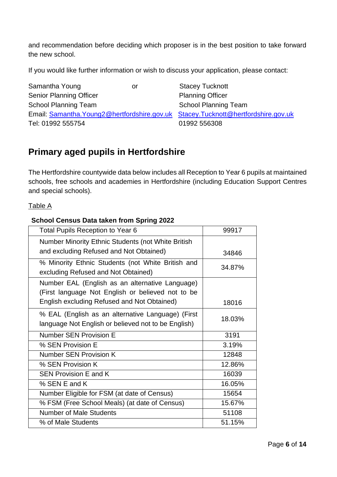and recommendation before deciding which proposer is in the best position to take forward the new school.

If you would like further information or wish to discuss your application, please contact:

| Samantha Young                                                                     | or | <b>Stacey Tucknott</b>      |
|------------------------------------------------------------------------------------|----|-----------------------------|
| <b>Senior Planning Officer</b>                                                     |    | <b>Planning Officer</b>     |
| <b>School Planning Team</b>                                                        |    | <b>School Planning Team</b> |
| Email: Samantha. Young2@hertfordshire.gov.uk Stacey. Tucknott@hertfordshire.gov.uk |    |                             |
| Tel: 01992 555754                                                                  |    | 01992 556308                |

# **Primary aged pupils in Hertfordshire**

The Hertfordshire countywide data below includes all Reception to Year 6 pupils at maintained schools, free schools and academies in Hertfordshire (including Education Support Centres and special schools).

Table A

#### **School Census Data taken from Spring 2022**

| <b>Total Pupils Reception to Year 6</b>                                                                  | 99917  |
|----------------------------------------------------------------------------------------------------------|--------|
| <b>Number Minority Ethnic Students (not White British</b>                                                |        |
| and excluding Refused and Not Obtained)                                                                  | 34846  |
| % Minority Ethnic Students (not White British and<br>excluding Refused and Not Obtained)                 | 34.87% |
| Number EAL (English as an alternative Language)<br>(First language Not English or believed not to be     |        |
| English excluding Refused and Not Obtained)                                                              | 18016  |
| % EAL (English as an alternative Language) (First<br>language Not English or believed not to be English) | 18.03% |
| <b>Number SEN Provision E</b>                                                                            | 3191   |
| % SEN Provision E                                                                                        | 3.19%  |
| <b>Number SEN Provision K</b>                                                                            | 12848  |
| % SEN Provision K                                                                                        | 12.86% |
| <b>SEN Provision E and K</b>                                                                             | 16039  |
| % SEN E and K                                                                                            | 16.05% |
| Number Eligible for FSM (at date of Census)                                                              | 15654  |
| % FSM (Free School Meals) (at date of Census)                                                            | 15.67% |
| <b>Number of Male Students</b>                                                                           | 51108  |
|                                                                                                          |        |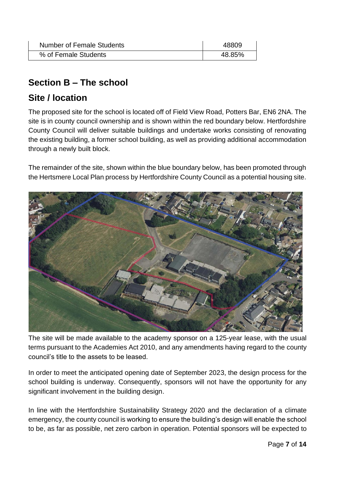| Number of Female Students | 48809  |
|---------------------------|--------|
| % of Female Students      | 48.85% |

# **Section B – The school**

### **Site / location**

The proposed site for the school is located off of Field View Road, Potters Bar, EN6 2NA. The site is in county council ownership and is shown within the red boundary below. Hertfordshire County Council will deliver suitable buildings and undertake works consisting of renovating the existing building, a former school building, as well as providing additional accommodation through a newly built block.

The remainder of the site, shown within the blue boundary below, has been promoted through the Hertsmere Local Plan process by Hertfordshire County Council as a potential housing site.



The site will be made available to the academy sponsor on a 125-year lease, with the usual terms pursuant to the Academies Act 2010, and any amendments having regard to the county council's title to the assets to be leased.

In order to meet the anticipated opening date of September 2023, the design process for the school building is underway. Consequently, sponsors will not have the opportunity for any significant involvement in the building design.

In line with the Hertfordshire Sustainability Strategy 2020 and the declaration of a climate emergency, the county council is working to ensure the building's design will enable the school to be, as far as possible, net zero carbon in operation. Potential sponsors will be expected to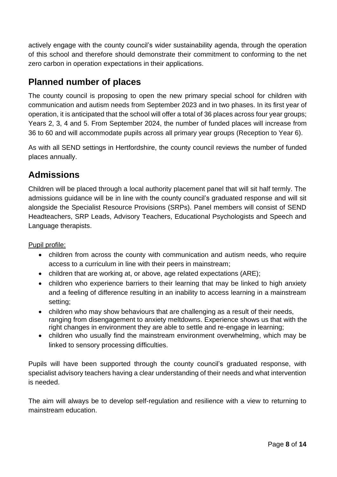actively engage with the county council's wider sustainability agenda, through the operation of this school and therefore should demonstrate their commitment to conforming to the net zero carbon in operation expectations in their applications.

# **Planned number of places**

The county council is proposing to open the new primary special school for children with communication and autism needs from September 2023 and in two phases. In its first year of operation, it is anticipated that the school will offer a total of 36 places across four year groups; Years 2, 3, 4 and 5. From September 2024, the number of funded places will increase from 36 to 60 and will accommodate pupils across all primary year groups (Reception to Year 6).

As with all SEND settings in Hertfordshire, the county council reviews the number of funded places annually.

# **Admissions**

Children will be placed through a local authority placement panel that will sit half termly. The admissions guidance will be in line with the county council's graduated response and will sit alongside the Specialist Resource Provisions (SRPs). Panel members will consist of SEND Headteachers, SRP Leads, Advisory Teachers, Educational Psychologists and Speech and Language therapists.

Pupil profile:

- children from across the county with communication and autism needs, who require access to a curriculum in line with their peers in mainstream;
- children that are working at, or above, age related expectations (ARE);
- children who experience barriers to their learning that may be linked to high anxiety and a feeling of difference resulting in an inability to access learning in a mainstream setting;
- children who may show behaviours that are challenging as a result of their needs, ranging from disengagement to anxiety meltdowns. Experience shows us that with the right changes in environment they are able to settle and re-engage in learning;
- children who usually find the mainstream environment overwhelming, which may be linked to sensory processing difficulties.

Pupils will have been supported through the county council's graduated response, with specialist advisory teachers having a clear understanding of their needs and what intervention is needed.

The aim will always be to develop self-regulation and resilience with a view to returning to mainstream education.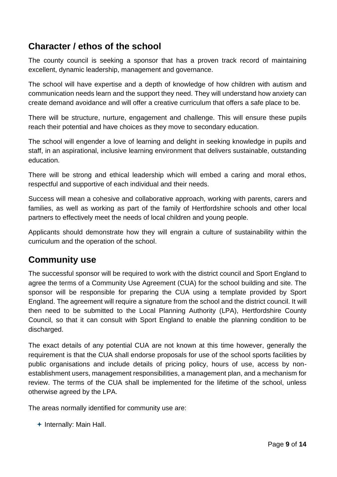# **Character / ethos of the school**

The county council is seeking a sponsor that has a proven track record of maintaining excellent, dynamic leadership, management and governance.

The school will have expertise and a depth of knowledge of how children with autism and communication needs learn and the support they need. They will understand how anxiety can create demand avoidance and will offer a creative curriculum that offers a safe place to be.

There will be structure, nurture, engagement and challenge. This will ensure these pupils reach their potential and have choices as they move to secondary education.

The school will engender a love of learning and delight in seeking knowledge in pupils and staff, in an aspirational, inclusive learning environment that delivers sustainable, outstanding education.

There will be strong and ethical leadership which will embed a caring and moral ethos, respectful and supportive of each individual and their needs.

Success will mean a cohesive and collaborative approach, working with parents, carers and families, as well as working as part of the family of Hertfordshire schools and other local partners to effectively meet the needs of local children and young people.

Applicants should demonstrate how they will engrain a culture of sustainability within the curriculum and the operation of the school.

### **Community use**

The successful sponsor will be required to work with the district council and Sport England to agree the terms of a Community Use Agreement (CUA) for the school building and site. The sponsor will be responsible for preparing the CUA using a template provided by Sport England. The agreement will require a signature from the school and the district council. It will then need to be submitted to the Local Planning Authority (LPA), Hertfordshire County Council, so that it can consult with Sport England to enable the planning condition to be discharged.

The exact details of any potential CUA are not known at this time however, generally the requirement is that the CUA shall endorse proposals for use of the school sports facilities by public organisations and include details of pricing policy, hours of use, access by nonestablishment users, management responsibilities, a management plan, and a mechanism for review. The terms of the CUA shall be implemented for the lifetime of the school, unless otherwise agreed by the LPA.

The areas normally identified for community use are:

 $+$  Internally: Main Hall.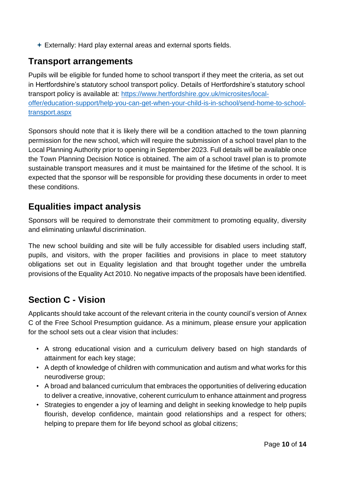Externally: Hard play external areas and external sports fields.

### **Transport arrangements**

Pupils will be eligible for funded home to school transport if they meet the criteria, as set out in Hertfordshire's statutory school transport policy. Details of Hertfordshire's statutory school transport policy is available at: [https://www.hertfordshire.gov.uk/microsites/local](https://www.hertfordshire.gov.uk/microsites/local-offer/education-support/help-you-can-get-when-your-child-is-in-school/send-home-to-school-transport.aspx)[offer/education-support/help-you-can-get-when-your-child-is-in-school/send-home-to-school](https://www.hertfordshire.gov.uk/microsites/local-offer/education-support/help-you-can-get-when-your-child-is-in-school/send-home-to-school-transport.aspx)[transport.aspx](https://www.hertfordshire.gov.uk/microsites/local-offer/education-support/help-you-can-get-when-your-child-is-in-school/send-home-to-school-transport.aspx)

Sponsors should note that it is likely there will be a condition attached to the town planning permission for the new school, which will require the submission of a school travel plan to the Local Planning Authority prior to opening in September 2023. Full details will be available once the Town Planning Decision Notice is obtained. The aim of a school travel plan is to promote sustainable transport measures and it must be maintained for the lifetime of the school. It is expected that the sponsor will be responsible for providing these documents in order to meet these conditions.

# **Equalities impact analysis**

Sponsors will be required to demonstrate their commitment to promoting equality, diversity and eliminating unlawful discrimination.

The new school building and site will be fully accessible for disabled users including staff, pupils, and visitors, with the proper facilities and provisions in place to meet statutory obligations set out in Equality legislation and that brought together under the umbrella provisions of the Equality Act 2010. No negative impacts of the proposals have been identified.

# **Section C - Vision**

Applicants should take account of the relevant criteria in the county council's version of Annex C of the Free School Presumption guidance. As a minimum, please ensure your application for the school sets out a clear vision that includes:

- A strong educational vision and a curriculum delivery based on high standards of attainment for each key stage;
- A depth of knowledge of children with communication and autism and what works for this neurodiverse group;
- A broad and balanced curriculum that embraces the opportunities of delivering education to deliver a creative, innovative, coherent curriculum to enhance attainment and progress
- Strategies to engender a joy of learning and delight in seeking knowledge to help pupils flourish, develop confidence, maintain good relationships and a respect for others; helping to prepare them for life beyond school as global citizens;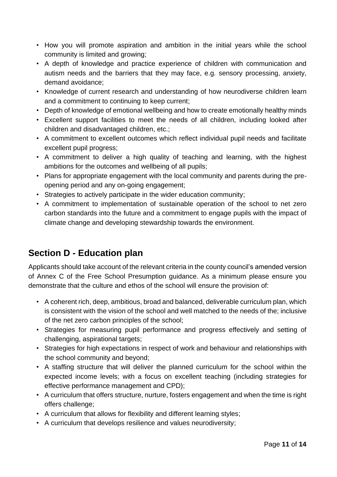- How you will promote aspiration and ambition in the initial years while the school community is limited and growing;
- A depth of knowledge and practice experience of children with communication and autism needs and the barriers that they may face, e.g. sensory processing, anxiety, demand avoidance;
- Knowledge of current research and understanding of how neurodiverse children learn and a commitment to continuing to keep current;
- Depth of knowledge of emotional wellbeing and how to create emotionally healthy minds
- Excellent support facilities to meet the needs of all children, including looked after children and disadvantaged children, etc.;
- A commitment to excellent outcomes which reflect individual pupil needs and facilitate excellent pupil progress;
- A commitment to deliver a high quality of teaching and learning, with the highest ambitions for the outcomes and wellbeing of all pupils;
- Plans for appropriate engagement with the local community and parents during the preopening period and any on-going engagement;
- Strategies to actively participate in the wider education community;
- A commitment to implementation of sustainable operation of the school to net zero carbon standards into the future and a commitment to engage pupils with the impact of climate change and developing stewardship towards the environment.

# **Section D - Education plan**

Applicants should take account of the relevant criteria in the county council's amended version of Annex C of the Free School Presumption guidance. As a minimum please ensure you demonstrate that the culture and ethos of the school will ensure the provision of:

- A coherent rich, deep, ambitious, broad and balanced, deliverable curriculum plan, which is consistent with the vision of the school and well matched to the needs of the; inclusive of the net zero carbon principles of the school;
- Strategies for measuring pupil performance and progress effectively and setting of challenging, aspirational targets;
- Strategies for high expectations in respect of work and behaviour and relationships with the school community and beyond;
- A staffing structure that will deliver the planned curriculum for the school within the expected income levels; with a focus on excellent teaching (including strategies for effective performance management and CPD);
- A curriculum that offers structure, nurture, fosters engagement and when the time is right offers challenge;
- A curriculum that allows for flexibility and different learning styles;
- A curriculum that develops resilience and values neurodiversity;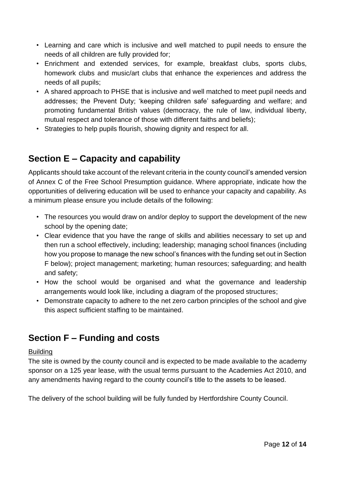- Learning and care which is inclusive and well matched to pupil needs to ensure the needs of all children are fully provided for;
- Enrichment and extended services, for example, breakfast clubs, sports clubs, homework clubs and music/art clubs that enhance the experiences and address the needs of all pupils;
- A shared approach to PHSE that is inclusive and well matched to meet pupil needs and addresses; the Prevent Duty; 'keeping children safe' safeguarding and welfare; and promoting fundamental British values (democracy, the rule of law, individual liberty, mutual respect and tolerance of those with different faiths and beliefs);
- Strategies to help pupils flourish, showing dignity and respect for all.

# **Section E – Capacity and capability**

Applicants should take account of the relevant criteria in the county council's amended version of Annex C of the Free School Presumption guidance. Where appropriate, indicate how the opportunities of delivering education will be used to enhance your capacity and capability. As a minimum please ensure you include details of the following:

- The resources you would draw on and/or deploy to support the development of the new school by the opening date;
- Clear evidence that you have the range of skills and abilities necessary to set up and then run a school effectively, including; leadership; managing school finances (including how you propose to manage the new school's finances with the funding set out in Section F below); project management; marketing; human resources; safeguarding; and health and safety;
- How the school would be organised and what the governance and leadership arrangements would look like, including a diagram of the proposed structures;
- Demonstrate capacity to adhere to the net zero carbon principles of the school and give this aspect sufficient staffing to be maintained.

# **Section F – Funding and costs**

#### **Building**

The site is owned by the county council and is expected to be made available to the academy sponsor on a 125 year lease, with the usual terms pursuant to the Academies Act 2010, and any amendments having regard to the county council's title to the assets to be leased.

The delivery of the school building will be fully funded by Hertfordshire County Council.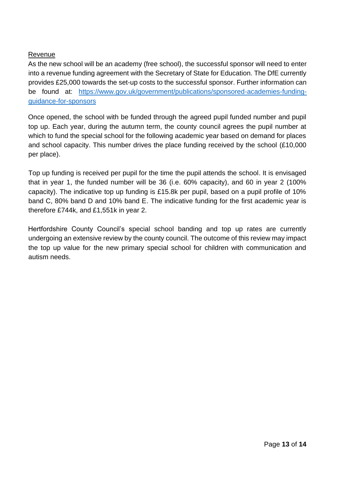#### Revenue

As the new school will be an academy (free school), the successful sponsor will need to enter into a revenue funding agreement with the Secretary of State for Education. The DfE currently provides £25,000 towards the set-up costs to the successful sponsor. Further information can be found at: [https://www.gov.uk/government/publications/sponsored-academies-funding](https://www.gov.uk/government/publications/sponsored-academies-funding-guidance-for-sponsors)[guidance-for-sponsors](https://www.gov.uk/government/publications/sponsored-academies-funding-guidance-for-sponsors)

Once opened, the school with be funded through the agreed pupil funded number and pupil top up. Each year, during the autumn term, the county council agrees the pupil number at which to fund the special school for the following academic year based on demand for places and school capacity. This number drives the place funding received by the school (£10,000 per place).

Top up funding is received per pupil for the time the pupil attends the school. It is envisaged that in year 1, the funded number will be 36 (i.e. 60% capacity), and 60 in year 2 (100% capacity). The indicative top up funding is £15.8k per pupil, based on a pupil profile of 10% band C, 80% band D and 10% band E. The indicative funding for the first academic year is therefore £744k, and £1,551k in year 2.

Hertfordshire County Council's special school banding and top up rates are currently undergoing an extensive review by the county council. The outcome of this review may impact the top up value for the new primary special school for children with communication and autism needs.